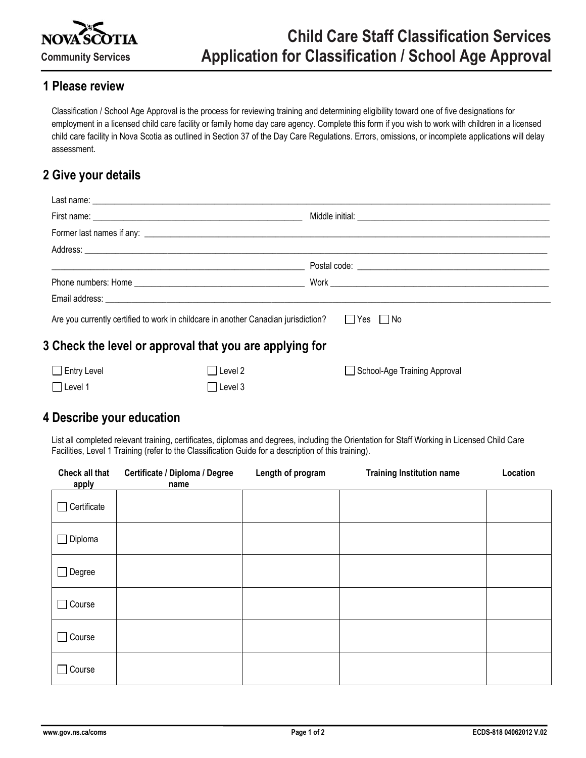

#### **1 Please review**

Classification / School Age Approval is the process for reviewing training and determining eligibility toward one of five designations for employment in a licensed child care facility or family home day care agency. Complete this form if you wish to work with children in a licensed child care facility in Nova Scotia as outlined in Section 37 of the Day Care Regulations. Errors, omissions, or incomplete applications will delay assessment.

## **2 Give your details**

|                                                         | <u> 1989 - Jan Barat, margaret eta biztanleria (h. 1989).</u>                                           |                              |  |  |  |
|---------------------------------------------------------|---------------------------------------------------------------------------------------------------------|------------------------------|--|--|--|
|                                                         |                                                                                                         |                              |  |  |  |
|                                                         |                                                                                                         |                              |  |  |  |
|                                                         | Are you currently certified to work in childcare in another Canadian jurisdiction? $\Box$ Yes $\Box$ No |                              |  |  |  |
| 3 Check the level or approval that you are applying for |                                                                                                         |                              |  |  |  |
| $\Box$ Entry Level                                      | IILevel 2                                                                                               | School-Age Training Approval |  |  |  |

#### **4 Describe your education**

□Level 1 Level 3

List all completed relevant training, certificates, diplomas and degrees, including the Orientation for Staff Working in Licensed Child Care Facilities, Level 1 Training (refer to the Classification Guide for a description of this training).

| Check all that<br>apply | Certificate / Diploma / Degree<br>name | Length of program | <b>Training Institution name</b> | Location |
|-------------------------|----------------------------------------|-------------------|----------------------------------|----------|
| Certificate             |                                        |                   |                                  |          |
| $\Box$ Diploma          |                                        |                   |                                  |          |
| $\Box$ Degree           |                                        |                   |                                  |          |
| $\Box$ Course           |                                        |                   |                                  |          |
| $\Box$ Course           |                                        |                   |                                  |          |
| $\Box$ Course           |                                        |                   |                                  |          |